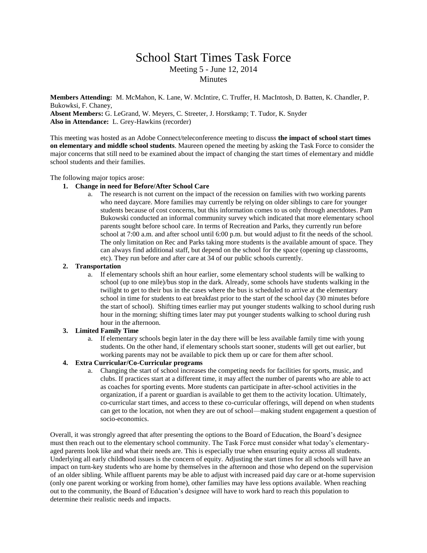# School Start Times Task Force Meeting 5 - June 12, 2014 Minutes

**Members Attending:** M. McMahon, K. Lane, W. McIntire, C. Truffer, H. MacIntosh, D. Batten, K. Chandler, P. Bukowksi, F. Chaney, **Absent Members:** G. LeGrand, W. Meyers, C. Streeter, J. Horstkamp; T. Tudor, K. Snyder **Also in Attendance:** L. Grey-Hawkins (recorder)

This meeting was hosted as an Adobe Connect/teleconference meeting to discuss **the impact of school start times on elementary and middle school students**. Maureen opened the meeting by asking the Task Force to consider the major concerns that still need to be examined about the impact of changing the start times of elementary and middle school students and their families.

The following major topics arose:

### **1. Change in need for Before/After School Care**

a. The research is not current on the impact of the recession on families with two working parents who need daycare. More families may currently be relying on older siblings to care for younger students because of cost concerns, but this information comes to us only through anectdotes. Pam Bukowski conducted an informal community survey which indicated that more elementary school parents sought before school care. In terms of Recreation and Parks, they currently run before school at 7:00 a.m. and after school until 6:00 p.m. but would adjust to fit the needs of the school. The only limitation on Rec and Parks taking more students is the available amount of space. They can always find additional staff, but depend on the school for the space (opening up classrooms, etc). They run before and after care at 34 of our public schools currently.

### **2. Transportation**

a. If elementary schools shift an hour earlier, some elementary school students will be walking to school (up to one mile)/bus stop in the dark. Already, some schools have students walking in the twilight to get to their bus in the cases where the bus is scheduled to arrive at the elementary school in time for students to eat breakfast prior to the start of the school day (30 minutes before the start of school). Shifting times earlier may put younger students walking to school during rush hour in the morning; shifting times later may put younger students walking to school during rush hour in the afternoon.

#### **3. Limited Family Time**

a. If elementary schools begin later in the day there will be less available family time with young students. On the other hand, if elementary schools start sooner, students will get out earlier, but working parents may not be available to pick them up or care for them after school.

## **4. Extra Curricular/Co-Curricular programs**

a. Changing the start of school increases the competing needs for facilities for sports, music, and clubs. If practices start at a different time, it may affect the number of parents who are able to act as coaches for sporting events. More students can participate in after-school activities in the organization, if a parent or guardian is available to get them to the activity location. Ultimately, co-curricular start times, and access to these co-curricular offerings, will depend on when students can get to the location, not when they are out of school—making student engagement a question of socio-economics.

Overall, it was strongly agreed that after presenting the options to the Board of Education, the Board's designee must then reach out to the elementary school community. The Task Force must consider what today's elementaryaged parents look like and what their needs are. This is especially true when ensuring equity across all students. Underlying all early childhood issues is the concern of equity. Adjusting the start times for all schools will have an impact on turn-key students who are home by themselves in the afternoon and those who depend on the supervision of an older sibling. While affluent parents may be able to adjust with increased paid day care or at-home supervision (only one parent working or working from home), other families may have less options available. When reaching out to the community, the Board of Education's designee will have to work hard to reach this population to determine their realistic needs and impacts.